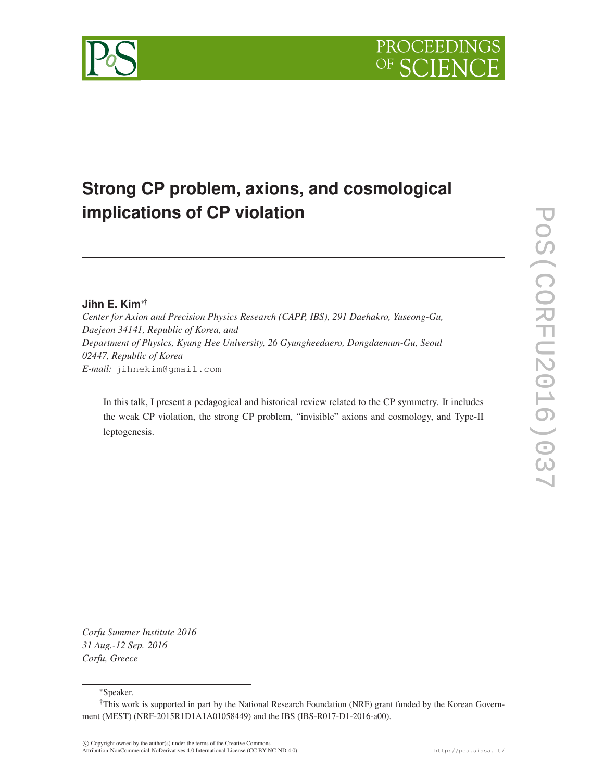# PROCEEDI

## **Strong CP problem, axions, and cosmological implications of CP violation**

### **Jihn E. Kim**∗†

*Center for Axion and Precision Physics Research (CAPP, IBS), 291 Daehakro, Yuseong-Gu, Daejeon 34141, Republic of Korea, and Department of Physics, Kyung Hee University, 26 Gyungheedaero, Dongdaemun-Gu, Seoul 02447, Republic of Korea E-mail:* jihnekim@gmail.com

In this talk, I present a pedagogical and historical review related to the CP symmetry. It includes the weak CP violation, the strong CP problem, "invisible" axions and cosmology, and Type-II leptogenesis.

*Corfu Summer Institute 2016 31 Aug.-12 Sep. 2016 Corfu, Greece*

#### ∗Speaker.

<sup>†</sup>This work is supported in part by the National Research Foundation (NRF) grant funded by the Korean Government (MEST) (NRF-2015R1D1A1A01058449) and the IBS (IBS-R017-D1-2016-a00).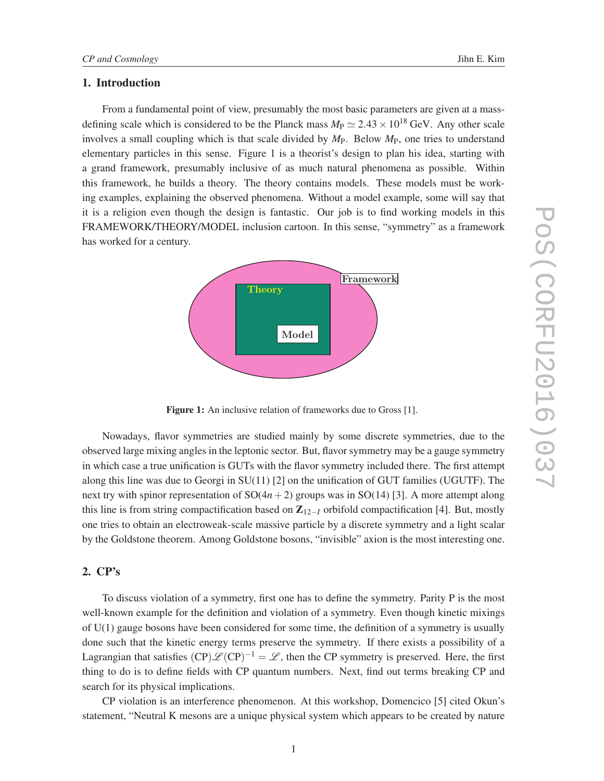#### 1. Introduction

From a fundamental point of view, presumably the most basic parameters are given at a massdefining scale which is considered to be the Planck mass  $M_P \simeq 2.43 \times 10^{18}$  GeV. Any other scale involves a small coupling which is that scale divided by *M*P. Below *M*P, one tries to understand elementary particles in this sense. Figure 1 is a theorist's design to plan his idea, starting with a grand framework, presumably inclusive of as much natural phenomena as possible. Within this framework, he builds a theory. The theory contains models. These models must be working examples, explaining the observed phenomena. Without a model example, some will say that it is a religion even though the design is fantastic. Our job is to find working models in this FRAMEWORK/THEORY/MODEL inclusion cartoon. In this sense, "symmetry" as a framework has worked for a century.



Figure 1: An inclusive relation of frameworks due to Gross [1].

Nowadays, flavor symmetries are studied mainly by some discrete symmetries, due to the observed large mixing angles in the leptonic sector. But, flavor symmetry may be a gauge symmetry in which case a true unification is GUTs with the flavor symmetry included there. The first attempt along this line was due to Georgi in SU(11) [2] on the unification of GUT families (UGUTF). The next try with spinor representation of  $SO(4n+2)$  groups was in  $SO(14)$  [3]. A more attempt along this line is from string compactification based on  $\mathbb{Z}_{12-I}$  orbifold compactification [4]. But, mostly one tries to obtain an electroweak-scale massive particle by a discrete symmetry and a light scalar by the Goldstone theorem. Among Goldstone bosons, "invisible" axion is the most interesting one.

#### 2. CP's

To discuss violation of a symmetry, first one has to define the symmetry. Parity P is the most well-known example for the definition and violation of a symmetry. Even though kinetic mixings of U(1) gauge bosons have been considered for some time, the definition of a symmetry is usually done such that the kinetic energy terms preserve the symmetry. If there exists a possibility of a Lagrangian that satisfies  $(CP)\mathcal{L}(CP)^{-1} = \mathcal{L}$ , then the CP symmetry is preserved. Here, the first thing to do is to define fields with CP quantum numbers. Next, find out terms breaking CP and search for its physical implications.

CP violation is an interference phenomenon. At this workshop, Domencico [5] cited Okun's statement, "Neutral K mesons are a unique physical system which appears to be created by nature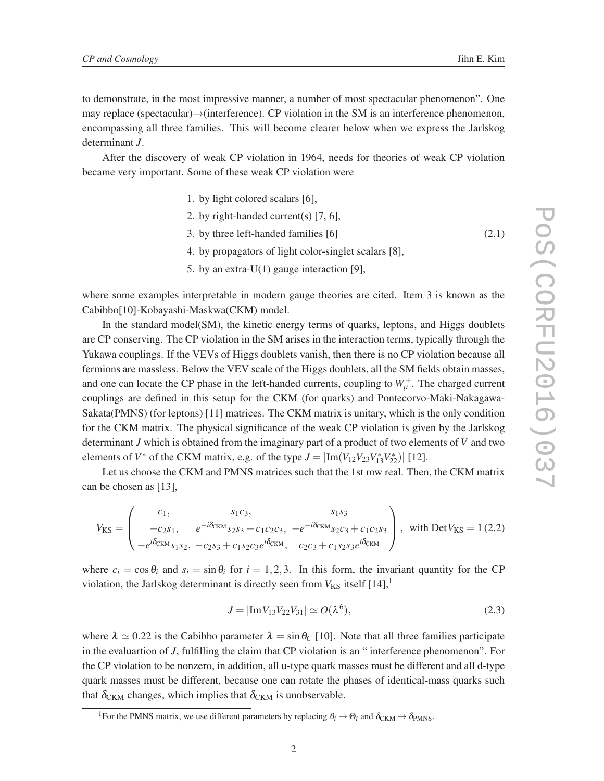to demonstrate, in the most impressive manner, a number of most spectacular phenomenon". One may replace (spectacular)→(interference). CP violation in the SM is an interference phenomenon, encompassing all three families. This will become clearer below when we express the Jarlskog determinant *J*.

After the discovery of weak CP violation in 1964, needs for theories of weak CP violation became very important. Some of these weak CP violation were

- 1. by light colored scalars [6],
- 2. by right-handed current(s) [7, 6],
- 3. by three left-handed families [6] (2.1)
- 4. by propagators of light color-singlet scalars [8],
- 5. by an extra-U(1) gauge interaction [9],

where some examples interpretable in modern gauge theories are cited. Item 3 is known as the Cabibbo[10]-Kobayashi-Maskwa(CKM) model.

In the standard model(SM), the kinetic energy terms of quarks, leptons, and Higgs doublets are CP conserving. The CP violation in the SM arises in the interaction terms, typically through the Yukawa couplings. If the VEVs of Higgs doublets vanish, then there is no CP violation because all fermions are massless. Below the VEV scale of the Higgs doublets, all the SM fields obtain masses, and one can locate the CP phase in the left-handed currents, coupling to  $W^{\pm}_{\mu}$ . The charged current couplings are defined in this setup for the CKM (for quarks) and Pontecorvo-Maki-Nakagawa-Sakata(PMNS) (for leptons) [11] matrices. The CKM matrix is unitary, which is the only condition for the CKM matrix. The physical significance of the weak CP violation is given by the Jarlskog determinant *J* which is obtained from the imaginary part of a product of two elements of *V* and two elements of *V*<sup>\*</sup> of the CKM matrix, e.g. of the type  $J = |\text{Im}(V_{12}V_{23}V_{13}^*V_{22}^*)|$  [12].

Let us choose the CKM and PMNS matrices such that the 1st row real. Then, the CKM matrix can be chosen as [13],

$$
V_{\rm KS} = \begin{pmatrix} c_1, & s_1c_3, & s_1s_3 \\ -c_2s_1, & e^{-i\delta_{\rm CKM}}s_2s_3 + c_1c_2c_3, & -e^{-i\delta_{\rm CKM}}s_2c_3 + c_1c_2s_3 \\ -e^{i\delta_{\rm CKM}}s_1s_2, & -c_2s_3 + c_1s_2c_3e^{i\delta_{\rm CKM}}, & c_2c_3 + c_1s_2s_3e^{i\delta_{\rm CKM}} \end{pmatrix}, \text{ with Det } V_{\rm KS} = 1 (2.2)
$$

where  $c_i = \cos \theta_i$  and  $s_i = \sin \theta_i$  for  $i = 1, 2, 3$ . In this form, the invariant quantity for the CP violation, the Jarlskog determinant is directly seen from  $V_{KS}$  itself  $[14]$ ,<sup>1</sup>

$$
J = |\text{Im} V_{13} V_{22} V_{31}| \simeq O(\lambda^6), \tag{2.3}
$$

where  $\lambda \simeq 0.22$  is the Cabibbo parameter  $\lambda = \sin \theta_C$  [10]. Note that all three families participate in the evaluartion of *J*, fulfilling the claim that CP violation is an " interference phenomenon". For the CP violation to be nonzero, in addition, all u-type quark masses must be different and all d-type quark masses must be different, because one can rotate the phases of identical-mass quarks such that  $\delta_{CKM}$  changes, which implies that  $\delta_{CKM}$  is unobservable.

<sup>&</sup>lt;sup>1</sup>For the PMNS matrix, we use different parameters by replacing  $\theta_i \rightarrow \Theta_i$  and  $\delta_{CKM} \rightarrow \delta_{PMNS}$ .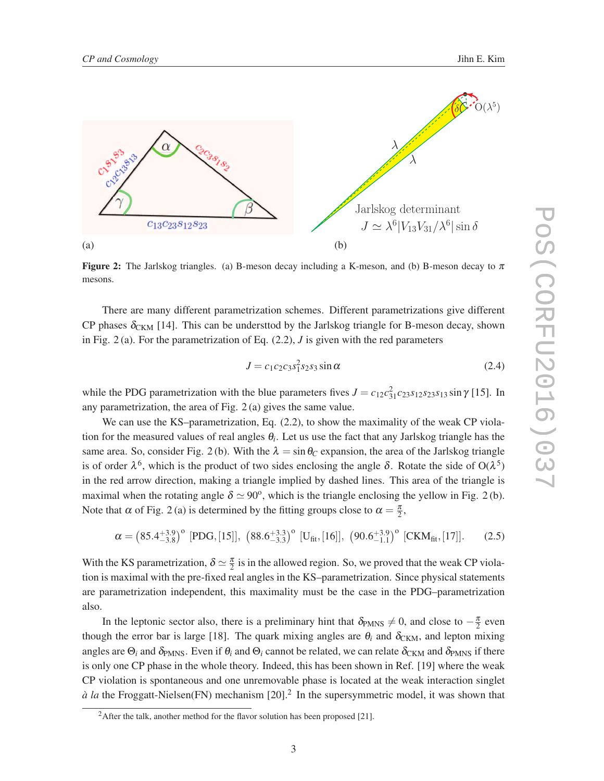

**Figure 2:** The Jarlskog triangles. (a) B-meson decay including a K-meson, and (b) B-meson decay to  $\pi$ mesons.

There are many different parametrization schemes. Different parametrizations give different CP phases  $\delta_{CKM}$  [14]. This can be understtod by the Jarlskog triangle for B-meson decay, shown in Fig. 2 (a). For the parametrization of Eq. (2.2), *J* is given with the red parameters

$$
J = c_1 c_2 c_3 s_1^2 s_2 s_3 \sin \alpha \tag{2.4}
$$

while the PDG parametrization with the blue parameters fives  $J = c_{12}c_{31}^2c_{23}s_{12}s_{23}s_{13}\sin\gamma$  [15]. In any parametrization, the area of Fig. 2 (a) gives the same value.

We can use the KS–parametrization, Eq. (2.2), to show the maximality of the weak CP violation for the measured values of real angles  $\theta_i$ . Let us use the fact that any Jarlskog triangle has the same area. So, consider Fig. 2 (b). With the  $\lambda = \sin \theta_C$  expansion, the area of the Jarlskog triangle is of order  $\lambda^6$ , which is the product of two sides enclosing the angle  $\delta$ . Rotate the side of O( $\lambda^5$ ) in the red arrow direction, making a triangle implied by dashed lines. This area of the triangle is maximal when the rotating angle  $\delta \simeq 90^{\circ}$ , which is the triangle enclosing the yellow in Fig. 2(b). Note that  $\alpha$  of Fig. 2(a) is determined by the fitting groups close to  $\alpha = \frac{\pi}{2}$ ,

$$
\alpha = \left(85.4^{+3.9}_{-3.8}\right)^o \ [\text{PDG}, [15]], \ \left(88.6^{+3.3}_{-3.3}\right)^o \ [\text{U}_{\text{fit}}, [16]], \ \left(90.6^{+3.9}_{-1.1}\right)^o \ [\text{CKM}_{\text{fit}}, [17]]. \tag{2.5}
$$

With the KS parametrization,  $\delta \simeq \frac{\pi}{2}$  is in the allowed region. So, we proved that the weak CP violation is maximal with the pre-fixed real angles in the KS–parametrization. Since physical statements are parametrization independent, this maximality must be the case in the PDG–parametrization also.

In the leptonic sector also, there is a preliminary hint that  $\delta_{PMNS} \neq 0$ , and close to  $-\frac{\pi}{2}$  even though the error bar is large [18]. The quark mixing angles are  $\theta_i$  and  $\delta_{CKM}$ , and lepton mixing angles are  $\Theta_i$  and  $\delta_{PMNS}$ . Even if  $\theta_i$  and  $\Theta_i$  cannot be related, we can relate  $\delta_{CKM}$  and  $\delta_{PMNS}$  if there is only one CP phase in the whole theory. Indeed, this has been shown in Ref. [19] where the weak CP violation is spontaneous and one unremovable phase is located at the weak interaction singlet  $\dot{a}$  *la* the Froggatt-Nielsen(FN) mechanism [20].<sup>2</sup> In the supersymmetric model, it was shown that

<sup>&</sup>lt;sup>2</sup>After the talk, another method for the flavor solution has been proposed [21].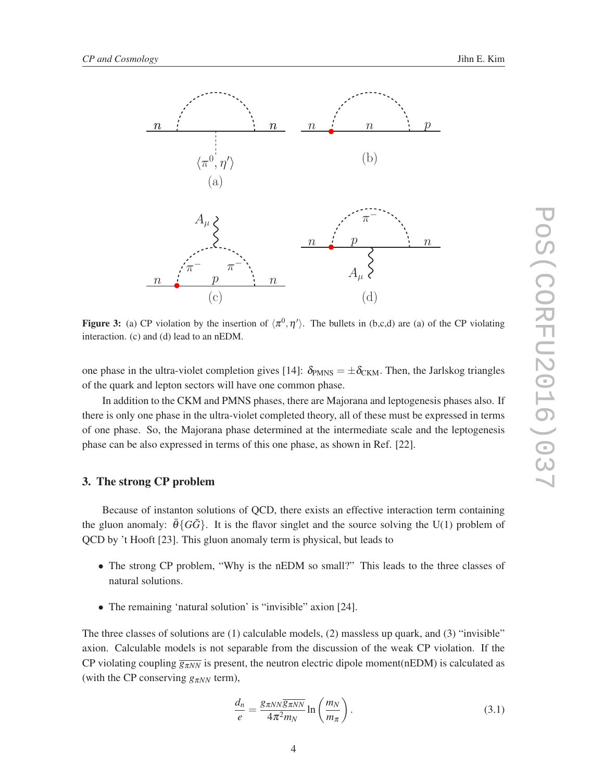

**Figure 3:** (a) CP violation by the insertion of  $\langle \pi^0, \eta' \rangle$ . The bullets in (b,c,d) are (a) of the CP violating interaction. (c) and (d) lead to an nEDM.

one phase in the ultra-violet completion gives [14]:  $\delta_{P MNS} = \pm \delta_{CKM}$ . Then, the Jarlskog triangles of the quark and lepton sectors will have one common phase.

In addition to the CKM and PMNS phases, there are Majorana and leptogenesis phases also. If there is only one phase in the ultra-violet completed theory, all of these must be expressed in terms of one phase. So, the Majorana phase determined at the intermediate scale and the leptogenesis phase can be also expressed in terms of this one phase, as shown in Ref. [22].

#### 3. The strong CP problem

Because of instanton solutions of QCD, there exists an effective interaction term containing the gluon anomaly:  $\theta\{GG\}$ . It is the flavor singlet and the source solving the U(1) problem of QCD by 't Hooft [23]. This gluon anomaly term is physical, but leads to

- The strong CP problem, "Why is the nEDM so small?" This leads to the three classes of natural solutions.
- The remaining 'natural solution' is "invisible" axion [24].

The three classes of solutions are (1) calculable models, (2) massless up quark, and (3) "invisible" axion. Calculable models is not separable from the discussion of the weak CP violation. If the CP violating coupling  $\overline{g_{\pi NN}}$  is present, the neutron electric dipole moment(nEDM) is calculated as (with the CP conserving  $g_{\pi NN}$  term),

$$
\frac{d_n}{e} = \frac{g_{\pi NN} \overline{g_{\pi NN}}}{4\pi^2 m_N} \ln\left(\frac{m_N}{m_\pi}\right). \tag{3.1}
$$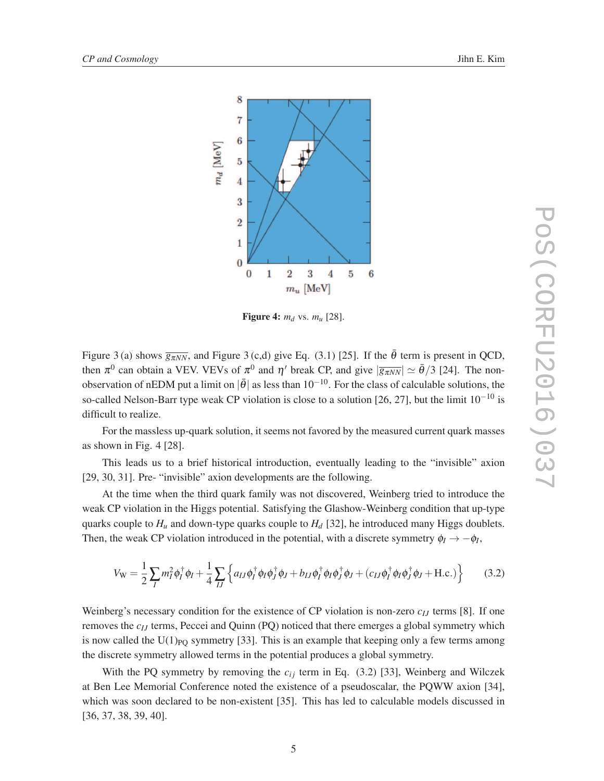

Figure 4:  $m_d$  vs.  $m_u$  [28].

Figure 3 (a) shows  $\overline{g_{\pi NN}}$ , and Figure 3 (c,d) give Eq. (3.1) [25]. If the  $\bar{\theta}$  term is present in QCD, then  $\pi^0$  can obtain a VEV. VEVs of  $\pi^0$  and  $\eta'$  break CP, and give  $|\overline{g_{\pi NN}}| \simeq \bar{\theta}/3$  [24]. The nonobservation of nEDM put a limit on  $|\bar{\theta}|$  as less than 10<sup>-10</sup>. For the class of calculable solutions, the so-called Nelson-Barr type weak CP violation is close to a solution [26, 27], but the limit  $10^{-10}$  is difficult to realize.

For the massless up-quark solution, it seems not favored by the measured current quark masses as shown in Fig. 4 [28].

This leads us to a brief historical introduction, eventually leading to the "invisible" axion [29, 30, 31]. Pre- "invisible" axion developments are the following.

At the time when the third quark family was not discovered, Weinberg tried to introduce the weak CP violation in the Higgs potential. Satisfying the Glashow-Weinberg condition that up-type quarks couple to  $H_u$  and down-type quarks couple to  $H_d$  [32], he introduced many Higgs doublets. Then, the weak CP violation introduced in the potential, with a discrete symmetry  $\phi_I \rightarrow -\phi_I$ ,

$$
V_{\rm W} = \frac{1}{2} \sum_{I} m_{I}^{2} \phi_{I}^{\dagger} \phi_{I} + \frac{1}{4} \sum_{IJ} \left\{ a_{IJ} \phi_{I}^{\dagger} \phi_{I} \phi_{J}^{\dagger} \phi_{J} + b_{IJ} \phi_{I}^{\dagger} \phi_{I} \phi_{J}^{\dagger} \phi_{J} + (c_{IJ} \phi_{I}^{\dagger} \phi_{I} \phi_{J}^{\dagger} \phi_{J} + \text{H.c.}) \right\}
$$
(3.2)

Weinberg's necessary condition for the existence of CP violation is non-zero *cIJ* terms [8]. If one removes the *cIJ* terms, Peccei and Quinn (PQ) noticed that there emerges a global symmetry which is now called the  $U(1)_{PQ}$  symmetry [33]. This is an example that keeping only a few terms among the discrete symmetry allowed terms in the potential produces a global symmetry.

With the PQ symmetry by removing the  $c_{ij}$  term in Eq. (3.2) [33], Weinberg and Wilczek at Ben Lee Memorial Conference noted the existence of a pseudoscalar, the PQWW axion [34], which was soon declared to be non-existent [35]. This has led to calculable models discussed in [36, 37, 38, 39, 40].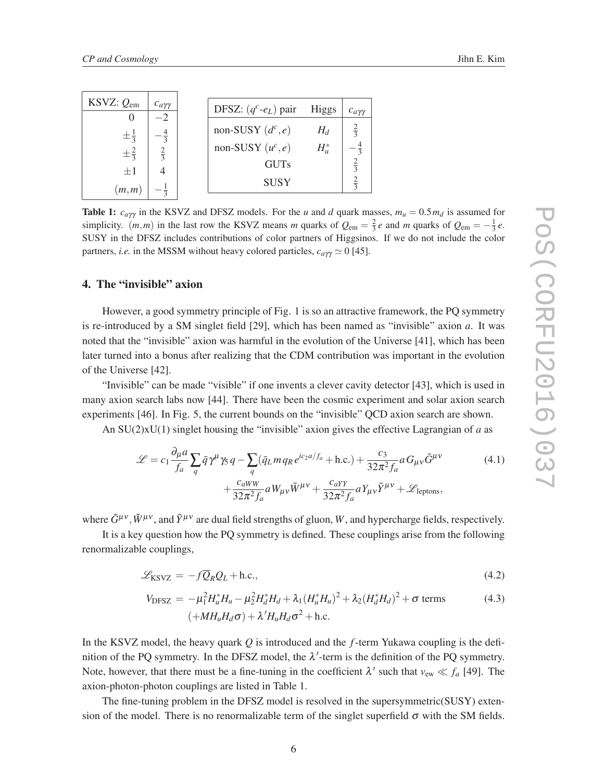| KSVZ: $Q_{\text{em}}$ | $c_{a\gamma\gamma}$ | DFSZ: $(q^c$ - $e_L$ ) pair<br><b>Higgs</b> | $c_{a\gamma\gamma}$ |
|-----------------------|---------------------|---------------------------------------------|---------------------|
| $\pm\frac{1}{3}$      |                     | non-SUSY $(d^c, e)$<br>$H_d$                | $rac{2}{3}$         |
| $\pm \frac{2}{3}$     | $rac{2}{2}$         | non-SUSY $(u^c, e)$<br>$H_u^*$              |                     |
| $\pm 1$               |                     | <b>GUTs</b>                                 | $rac{2}{3}$         |
| (m,m)                 |                     | <b>SUSY</b>                                 | $rac{2}{3}$         |

Table 1:  $c_{a\gamma\gamma}$  in the KSVZ and DFSZ models. For the *u* and *d* quark masses,  $m_u = 0.5 m_d$  is assumed for simplicity.  $(m, m)$  in the last row the KSVZ means *m* quarks of  $Q_{em} = \frac{2}{3}e$  and *m* quarks of  $Q_{em} = -\frac{1}{3}e$ . SUSY in the DFSZ includes contributions of color partners of Higgsinos. If we do not include the color partners, *i.e.* in the MSSM without heavy colored particles,  $c_{a\gamma\gamma} \simeq 0$  [45].

#### 4. The "invisible" axion

However, a good symmetry principle of Fig. 1 is so an attractive framework, the PQ symmetry is re-introduced by a SM singlet field [29], which has been named as "invisible" axion *a*. It was noted that the "invisible" axion was harmful in the evolution of the Universe [41], which has been later turned into a bonus after realizing that the CDM contribution was important in the evolution of the Universe [42].

"Invisible" can be made "visible" if one invents a clever cavity detector [43], which is used in many axion search labs now [44]. There have been the cosmic experiment and solar axion search experiments [46]. In Fig. 5, the current bounds on the "invisible" QCD axion search are shown.

An SU(2)xU(1) singlet housing the "invisible" axion gives the effective Lagrangian of *a* as

$$
\mathcal{L} = c_1 \frac{\partial_\mu a}{f_a} \sum_q \bar{q} \gamma^\mu \gamma_5 q - \sum_q (\bar{q}_L m q_R e^{ic_2 a/f_a} + \text{h.c.}) + \frac{c_3}{32\pi^2 f_a} a G_{\mu\nu} \tilde{G}^{\mu\nu} + \frac{c_{aWW}}{32\pi^2 f_a} a W_{\mu\nu} \tilde{W}^{\mu\nu} + \frac{c_{aYY}}{32\pi^2 f_a} a Y_{\mu\nu} \tilde{Y}^{\mu\nu} + \mathcal{L}_{\text{leptons}},
$$
\n(4.1)

where  $\tilde{G}^{\mu\nu}$ ,  $\tilde{W}^{\mu\nu}$ , and  $\tilde{Y}^{\mu\nu}$  are dual field strengths of gluon, *W*, and hypercharge fields, respectively.

It is a key question how the PQ symmetry is defined. These couplings arise from the following renormalizable couplings,

$$
\mathcal{L}_{\text{KSVZ}} = -f\overline{Q}_R Q_L + \text{h.c.},\tag{4.2}
$$

$$
V_{\text{DFSZ}} = -\mu_1^2 H_u^* H_u - \mu_2^2 H_d^* H_d + \lambda_1 (H_u^* H_u)^2 + \lambda_2 (H_d^* H_d)^2 + \sigma \text{ terms}
$$
\n
$$
(+MH_u H_d \sigma) + \lambda' H_u H_d \sigma^2 + \text{h.c.}
$$
\n(4.3)

In the KSVZ model, the heavy quark *Q* is introduced and the *f*-term Yukawa coupling is the definition of the PQ symmetry. In the DFSZ model, the  $\lambda'$ -term is the definition of the PQ symmetry. Note, however, that there must be a fine-tuning in the coefficient  $\lambda'$  such that  $v_{ew} \ll f_a$  [49]. The axion-photon-photon couplings are listed in Table 1.

The fine-tuning problem in the DFSZ model is resolved in the supersymmetric(SUSY) extension of the model. There is no renormalizable term of the singlet superfield  $\sigma$  with the SM fields.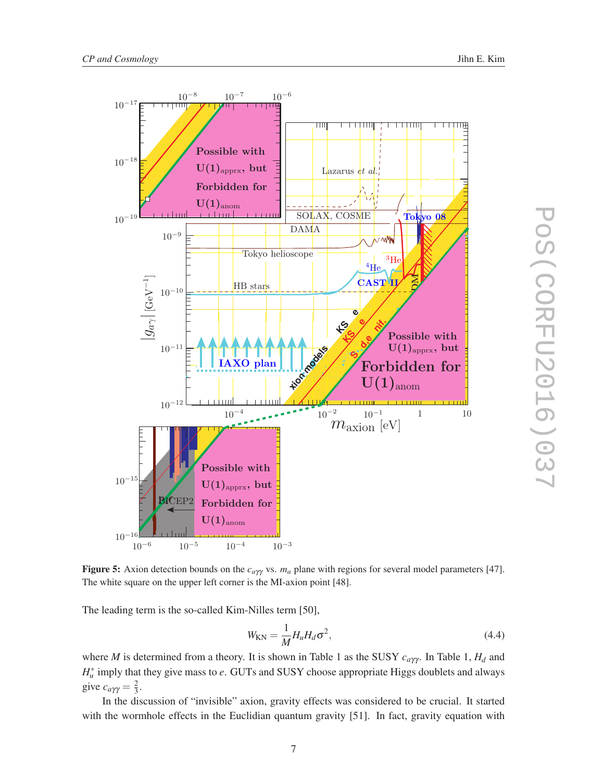

Figure 5: Axion detection bounds on the *ca*γγ vs. *m<sup>a</sup>* plane with regions for several model parameters [47]. The white square on the upper left corner is the MI-axion point [48].

The leading term is the so-called Kim-Nilles term [50],

$$
W_{\rm KN} = \frac{1}{M} H_u H_d \sigma^2, \qquad (4.4)
$$

where *M* is determined from a theory. It is shown in Table 1 as the SUSY *ca*γγ . In Table 1, *H<sup>d</sup>* and *H*<sup>∗</sup><sub>*u*</sub> imply that they give mass to *e*. GUTs and SUSY choose appropriate Higgs doublets and always give  $c_{a\gamma\gamma} = \frac{2}{3}$  $\frac{2}{3}$ .

In the discussion of "invisible" axion, gravity effects was considered to be crucial. It started with the wormhole effects in the Euclidian quantum gravity [51]. In fact, gravity equation with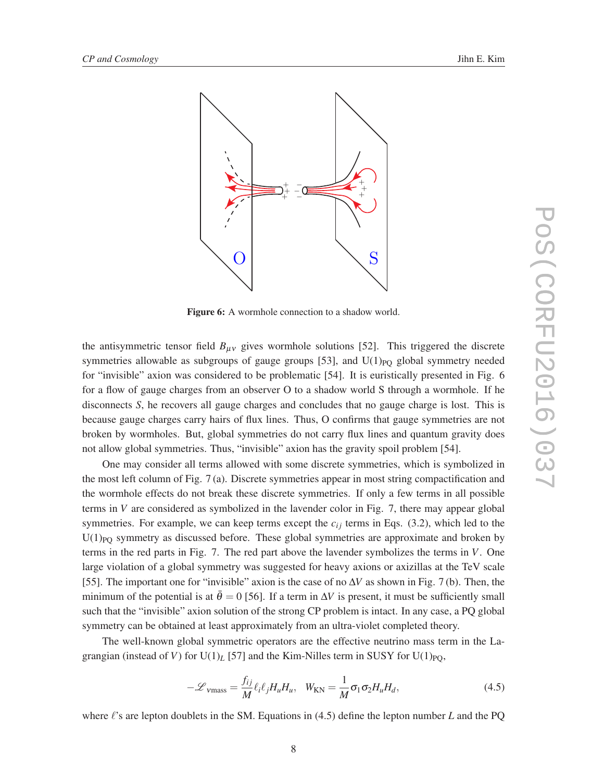

Figure 6: A wormhole connection to a shadow world.

the antisymmetric tensor field  $B_{\mu\nu}$  gives wormhole solutions [52]. This triggered the discrete symmetries allowable as subgroups of gauge groups  $[53]$ , and  $U(1)_{PQ}$  global symmetry needed for "invisible" axion was considered to be problematic [54]. It is euristically presented in Fig. 6 for a flow of gauge charges from an observer O to a shadow world S through a wormhole. If he disconnects *S*, he recovers all gauge charges and concludes that no gauge charge is lost. This is because gauge charges carry hairs of flux lines. Thus, O confirms that gauge symmetries are not broken by wormholes. But, global symmetries do not carry flux lines and quantum gravity does not allow global symmetries. Thus, "invisible" axion has the gravity spoil problem [54].

One may consider all terms allowed with some discrete symmetries, which is symbolized in the most left column of Fig. 7 (a). Discrete symmetries appear in most string compactification and the wormhole effects do not break these discrete symmetries. If only a few terms in all possible terms in *V* are considered as symbolized in the lavender color in Fig. 7, there may appear global symmetries. For example, we can keep terms except the  $c_{ij}$  terms in Eqs. (3.2), which led to the  $U(1)_{PQ}$  symmetry as discussed before. These global symmetries are approximate and broken by terms in the red parts in Fig. 7. The red part above the lavender symbolizes the terms in *V*. One large violation of a global symmetry was suggested for heavy axions or axizillas at the TeV scale [55]. The important one for "invisible" axion is the case of no ∆*V* as shown in Fig. 7 (b). Then, the minimum of the potential is at  $\bar{\theta} = 0$  [56]. If a term in  $\Delta V$  is present, it must be sufficiently small such that the "invisible" axion solution of the strong CP problem is intact. In any case, a PQ global symmetry can be obtained at least approximately from an ultra-violet completed theory.

The well-known global symmetric operators are the effective neutrino mass term in the Lagrangian (instead of *V*) for  $U(1)_L$  [57] and the Kim-Nilles term in SUSY for  $U(1)_{PQ}$ ,

$$
-\mathcal{L}_{\nu\text{mass}} = \frac{f_{ij}}{M} \ell_i \ell_j H_u H_u, \quad W_{\text{KN}} = \frac{1}{M} \sigma_1 \sigma_2 H_u H_d, \tag{4.5}
$$

where ℓ's are lepton doublets in the SM. Equations in (4.5) define the lepton number *L* and the PQ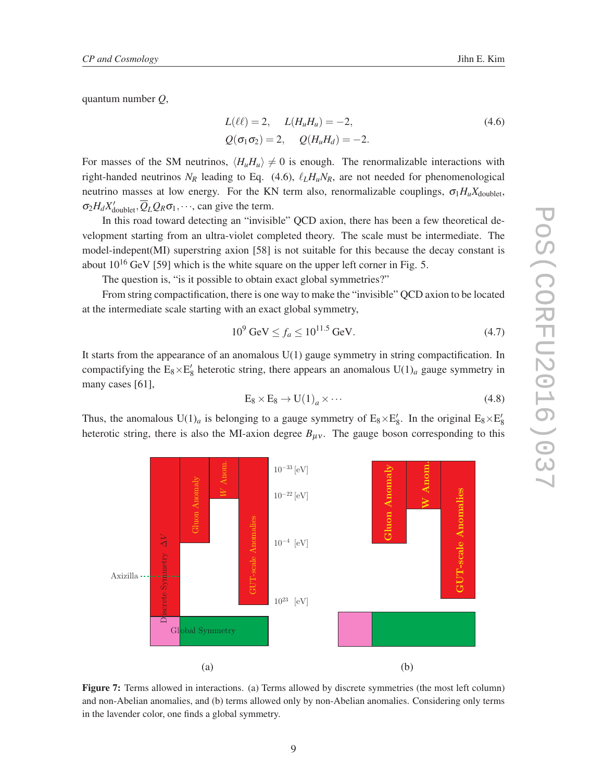quantum number *Q*,

 $\breve{\breve{\Delta}}$ 

æ

Axizilla

Gluon Anomaly

WAnom.

$$
L(\ell\ell) = 2, \quad L(H_u H_u) = -2,
$$
  
\n
$$
Q(\sigma_1 \sigma_2) = 2, \quad Q(H_u H_d) = -2.
$$
\n(4.6)

For masses of the SM neutrinos,  $\langle H_u H_u \rangle \neq 0$  is enough. The renormalizable interactions with right-handed neutrinos  $N_R$  leading to Eq. (4.6),  $\ell_L H_u N_R$ , are not needed for phenomenological neutrino masses at low energy. For the KN term also, renormalizable couplings,  $\sigma_1 H_u X_{\text{doublet}}$ ,  $\sigma_2 H_d X'_{\text{doublet}}, Q_L Q_R \sigma_1, \cdots$ , can give the term.

In this road toward detecting an "invisible" QCD axion, there has been a few theoretical development starting from an ultra-violet completed theory. The scale must be intermediate. The model-indepent(MI) superstring axion [58] is not suitable for this because the decay constant is about  $10^{16}$  GeV [59] which is the white square on the upper left corner in Fig. 5.

The question is, "is it possible to obtain exact global symmetries?"

From string compactification, there is one way to make the "invisible" QCD axion to be located at the intermediate scale starting with an exact global symmetry,

$$
10^9 \text{ GeV} \le f_a \le 10^{11.5} \text{ GeV}.
$$
 (4.7)

It starts from the appearance of an anomalous U(1) gauge symmetry in string compactification. In compactifying the  $E_8 \times E'_8$  heterotic string, there appears an anomalous  $U(1)_a$  gauge symmetry in many cases [61],

$$
E_8 \times E_8 \to U(1)_a \times \cdots \tag{4.8}
$$

Gluon Anomaly

Fluon Anoma

W Anom.

Thus, the anomalous  $U(1)_a$  is belonging to a gauge symmetry of  $E_8 \times E'_8$ . In the original  $E_8 \times E'_8$ heterotic string, there is also the MI-axion degree  $B_{\mu\nu}$ . The gauge boson corresponding to this



10−<sup>4</sup> [eV]

 $10^{-22}$  [eV]

 $10^{-33}$  [eV]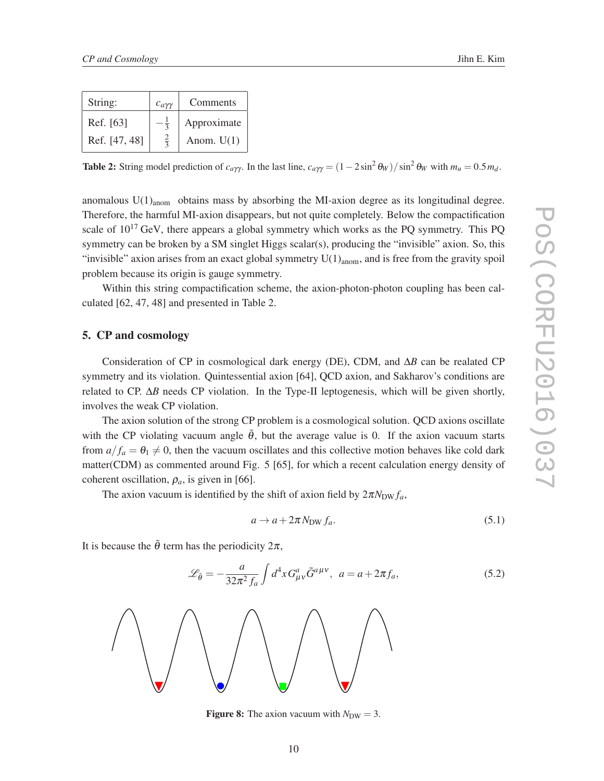| String:       | $c_{a\gamma\gamma}$ | Comments     |
|---------------|---------------------|--------------|
| Ref. [63]     |                     | Approximate  |
| Ref. [47, 48] |                     | Anom. $U(1)$ |

Table 2: String model prediction of  $c_{a\gamma\gamma}$ . In the last line,  $c_{a\gamma\gamma} = (1 - 2\sin^2 \theta_W)/\sin^2 \theta_W$  with  $m_u = 0.5 m_d$ .

anomalous  $U(1)_{\text{anom}}$  obtains mass by absorbing the MI-axion degree as its longitudinal degree. Therefore, the harmful MI-axion disappears, but not quite completely. Below the compactification scale of  $10^{17}$  GeV, there appears a global symmetry which works as the PQ symmetry. This PQ symmetry can be broken by a SM singlet Higgs scalar(s), producing the "invisible" axion. So, this "invisible" axion arises from an exact global symmetry  $U(1)_{\text{anom}}$ , and is free from the gravity spoil problem because its origin is gauge symmetry.

Within this string compactification scheme, the axion-photon-photon coupling has been calculated [62, 47, 48] and presented in Table 2.

#### 5. CP and cosmology

Consideration of CP in cosmological dark energy (DE), CDM, and ∆*B* can be realated CP symmetry and its violation. Quintessential axion [64], QCD axion, and Sakharov's conditions are related to CP. ∆*B* needs CP violation. In the Type-II leptogenesis, which will be given shortly, involves the weak CP violation.

The axion solution of the strong CP problem is a cosmological solution. QCD axions oscillate with the CP violating vacuum angle  $\bar{\theta}$ , but the average value is 0. If the axion vacuum starts from  $a/f_a = \theta_1 \neq 0$ , then the vacuum oscillates and this collective motion behaves like cold dark matter(CDM) as commented around Fig. 5 [65], for which a recent calculation energy density of coherent oscillation,  $\rho_a$ , is given in [66].

The axion vacuum is identified by the shift of axion field by  $2\pi N_{\text{DW}} f_a$ ,

$$
a \to a + 2\pi N_{\text{DW}} f_a. \tag{5.1}
$$

It is because the  $\bar{\theta}$  term has the periodicity  $2\pi$ ,

$$
\mathcal{L}_{\bar{\theta}} = -\frac{a}{32\pi^2 f_a} \int d^4x G^a_{\mu\nu} \tilde{G}^{a\mu\nu}, \ \ a = a + 2\pi f_a,\tag{5.2}
$$



**Figure 8:** The axion vacuum with  $N_{DW} = 3$ .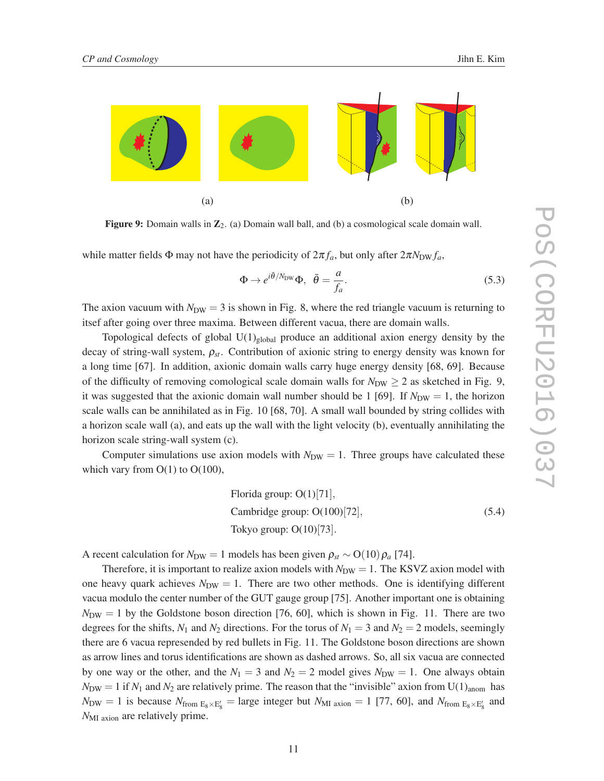

Figure 9: Domain walls in  $\mathbb{Z}_2$ . (a) Domain wall ball, and (b) a cosmological scale domain wall.

while matter fields  $\Phi$  may not have the periodicity of  $2\pi f_a$ , but only after  $2\pi N_{\text{DW}} f_a$ ,

$$
\Phi \to e^{i\bar{\theta}/N_{\text{DW}}}\Phi, \ \ \bar{\theta} = \frac{a}{f_a}.\tag{5.3}
$$

The axion vacuum with  $N_{\text{DW}} = 3$  is shown in Fig. 8, where the red triangle vacuum is returning to itsef after going over three maxima. Between different vacua, there are domain walls.

Topological defects of global  $U(1)_{global}$  produce an additional axion energy density by the decay of string-wall system, <sup>ρ</sup>*st*. Contribution of axionic string to energy density was known for a long time [67]. In addition, axionic domain walls carry huge energy density [68, 69]. Because of the difficulty of removing comological scale domain walls for  $N_{DW} \ge 2$  as sketched in Fig. 9, it was suggested that the axionic domain wall number should be 1 [69]. If  $N_{\text{DW}} = 1$ , the horizon scale walls can be annihilated as in Fig. 10 [68, 70]. A small wall bounded by string collides with a horizon scale wall (a), and eats up the wall with the light velocity (b), eventually annihilating the horizon scale string-wall system (c).

Computer simulations use axion models with  $N_{\text{DW}} = 1$ . Three groups have calculated these which vary from  $O(1)$  to  $O(100)$ ,

Florida group: 
$$
O(1)[71]
$$
,

\nCambridge group:  $O(100)[72]$ ,

\nTokyo group:  $O(10)[73]$ .

\n(5.4)

A recent calculation for  $N_{\text{DW}} = 1$  models has been given  $\rho_{st} \sim O(10) \rho_a$  [74].

Therefore, it is important to realize axion models with  $N_{DW} = 1$ . The KSVZ axion model with one heavy quark achieves  $N_{\text{DW}} = 1$ . There are two other methods. One is identifying different vacua modulo the center number of the GUT gauge group [75]. Another important one is obtaining  $N_{\text{DW}} = 1$  by the Goldstone boson direction [76, 60], which is shown in Fig. 11. There are two degrees for the shifts,  $N_1$  and  $N_2$  directions. For the torus of  $N_1 = 3$  and  $N_2 = 2$  models, seemingly there are 6 vacua represended by red bullets in Fig. 11. The Goldstone boson directions are shown as arrow lines and torus identifications are shown as dashed arrows. So, all six vacua are connected by one way or the other, and the  $N_1 = 3$  and  $N_2 = 2$  model gives  $N_{DW} = 1$ . One always obtain  $N_{\text{DW}} = 1$  if  $N_1$  and  $N_2$  are relatively prime. The reason that the "invisible" axion from U(1)<sub>anom</sub> has  $N_{\text{DW}} = 1$  is because  $N_{\text{from }E_8 \times E'_8} = \text{large integer but } N_{\text{MI axion}} = 1$  [77, 60], and  $N_{\text{from }E_8 \times E'_8}$  and *N*<sub>MI</sub> <sub>axion</sub> are relatively prime.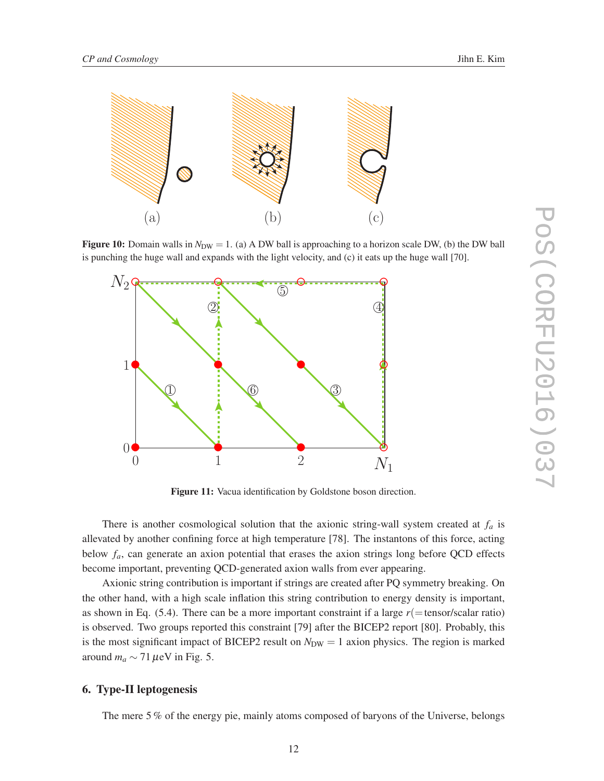

**Figure 10:** Domain walls in  $N_{DW} = 1$ . (a) A DW ball is approaching to a horizon scale DW, (b) the DW ball is punching the huge wall and expands with the light velocity, and (c) it eats up the huge wall [70].



Figure 11: Vacua identification by Goldstone boson direction.

There is another cosmological solution that the axionic string-wall system created at *f<sup>a</sup>* is allevated by another confining force at high temperature [78]. The instantons of this force, acting below *fa*, can generate an axion potential that erases the axion strings long before QCD effects become important, preventing QCD-generated axion walls from ever appearing.

Axionic string contribution is important if strings are created after PQ symmetry breaking. On the other hand, with a high scale inflation this string contribution to energy density is important, as shown in Eq.  $(5.4)$ . There can be a more important constraint if a large  $r(=tensor/scalar ratio)$ is observed. Two groups reported this constraint [79] after the BICEP2 report [80]. Probably, this is the most significant impact of BICEP2 result on  $N_{DW} = 1$  axion physics. The region is marked around  $m_a \sim 71 \,\mu\text{eV}$  in Fig. 5.

#### 6. Type-II leptogenesis

The mere 5 % of the energy pie, mainly atoms composed of baryons of the Universe, belongs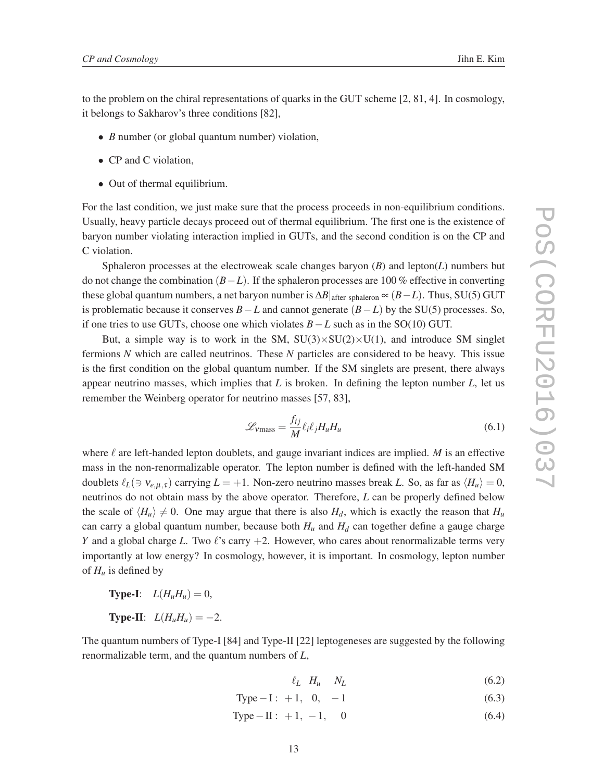to the problem on the chiral representations of quarks in the GUT scheme [2, 81, 4]. In cosmology, it belongs to Sakharov's three conditions [82],

- *B* number (or global quantum number) violation,
- CP and C violation,
- Out of thermal equilibrium.

For the last condition, we just make sure that the process proceeds in non-equilibrium conditions. Usually, heavy particle decays proceed out of thermal equilibrium. The first one is the existence of baryon number violating interaction implied in GUTs, and the second condition is on the CP and C violation.

Sphaleron processes at the electroweak scale changes baryon (*B*) and lepton(*L*) numbers but do not change the combination (*B*−*L*). If the sphaleron processes are 100 % effective in converting these global quantum numbers, a net baryon number is  $\Delta B|_{\text{after sphaleron}} \propto (B - L)$ . Thus, SU(5) GUT is problematic because it conserves *B*−*L* and cannot generate (*B*−*L*) by the SU(5) processes. So, if one tries to use GUTs, choose one which violates *B*−*L* such as in the SO(10) GUT.

But, a simple way is to work in the SM,  $SU(3)\times SU(2)\times U(1)$ , and introduce SM singlet fermions *N* which are called neutrinos. These *N* particles are considered to be heavy. This issue is the first condition on the global quantum number. If the SM singlets are present, there always appear neutrino masses, which implies that *L* is broken. In defining the lepton number *L*, let us remember the Weinberg operator for neutrino masses [57, 83],

$$
\mathcal{L}_{\text{vmass}} = \frac{f_{ij}}{M} \ell_i \ell_j H_u H_u \tag{6.1}
$$

where  $\ell$  are left-handed lepton doublets, and gauge invariant indices are implied. *M* is an effective mass in the non-renormalizable operator. The lepton number is defined with the left-handed SM doublets  $\ell_L$ ( $\Rightarrow$   $v_{e,\mu,\tau}$ ) carrying  $L = +1$ . Non-zero neutrino masses break *L*. So, as far as  $\langle H_u \rangle = 0$ , neutrinos do not obtain mass by the above operator. Therefore, *L* can be properly defined below the scale of  $\langle H_u \rangle \neq 0$ . One may argue that there is also  $H_d$ , which is exactly the reason that  $H_u$ can carry a global quantum number, because both  $H_u$  and  $H_d$  can together define a gauge charge *Y* and a global charge *L*. Two ℓ's carry +2. However, who cares about renormalizable terms very importantly at low energy? In cosmology, however, it is important. In cosmology, lepton number of  $H_u$  is defined by

**Type-I:**  $L(H_uH_u) = 0$ , **Type-II:**  $L(H_uH_u) = -2$ .

The quantum numbers of Type-I [84] and Type-II [22] leptogeneses are suggested by the following renormalizable term, and the quantum numbers of *L*,

- $\ell_L$   $H_u$   $N_L$  (6.2)
- Type I: +1, 0, –1 (6.3)
- Type II : +1, –1, 0 (6.4)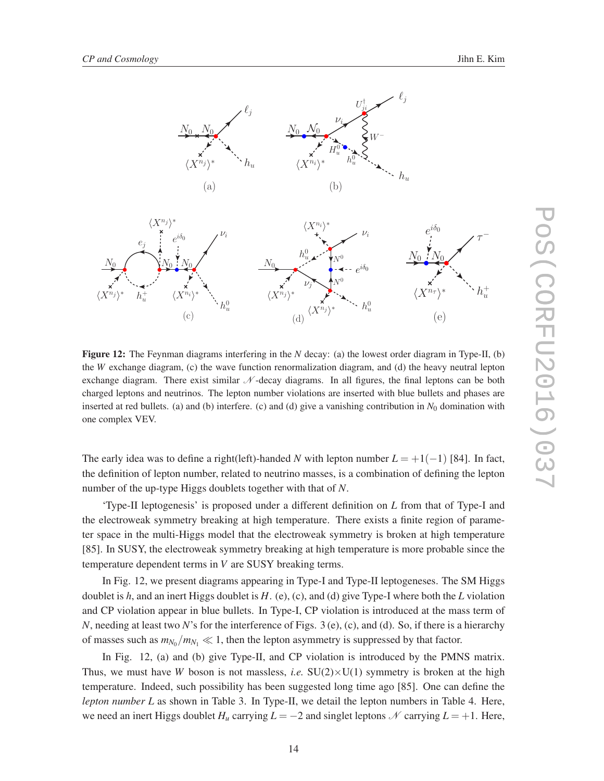

Figure 12: The Feynman diagrams interfering in the *N* decay: (a) the lowest order diagram in Type-II, (b) the *W* exchange diagram, (c) the wave function renormalization diagram, and (d) the heavy neutral lepton exchange diagram. There exist similar  $\mathcal N$ -decay diagrams. In all figures, the final leptons can be both charged leptons and neutrinos. The lepton number violations are inserted with blue bullets and phases are inserted at red bullets. (a) and (b) interfere. (c) and (d) give a vanishing contribution in  $N_0$  domination with one complex VEV.

The early idea was to define a right(left)-handed *N* with lepton number  $L = +1(-1)$  [84]. In fact, the definition of lepton number, related to neutrino masses, is a combination of defining the lepton number of the up-type Higgs doublets together with that of *N*.

'Type-II leptogenesis' is proposed under a different definition on *L* from that of Type-I and the electroweak symmetry breaking at high temperature. There exists a finite region of parameter space in the multi-Higgs model that the electroweak symmetry is broken at high temperature [85]. In SUSY, the electroweak symmetry breaking at high temperature is more probable since the temperature dependent terms in *V* are SUSY breaking terms.

In Fig. 12, we present diagrams appearing in Type-I and Type-II leptogeneses. The SM Higgs doublet is *h*, and an inert Higgs doublet is *H*. (e), (c), and (d) give Type-I where both the *L* violation and CP violation appear in blue bullets. In Type-I, CP violation is introduced at the mass term of *N*, needing at least two *N*'s for the interference of Figs. 3 (e), (c), and (d). So, if there is a hierarchy of masses such as  $m_{N_0}/m_{N_1} \ll 1$ , then the lepton asymmetry is suppressed by that factor.

In Fig. 12, (a) and (b) give Type-II, and CP violation is introduced by the PMNS matrix. Thus, we must have *W* boson is not massless, *i.e.*  $SU(2)\times U(1)$  symmetry is broken at the high temperature. Indeed, such possibility has been suggested long time ago [85]. One can define the *lepton number L* as shown in Table 3. In Type-II, we detail the lepton numbers in Table 4. Here, we need an inert Higgs doublet  $H_u$  carrying  $L = -2$  and singlet leptons N carrying  $L = +1$ . Here,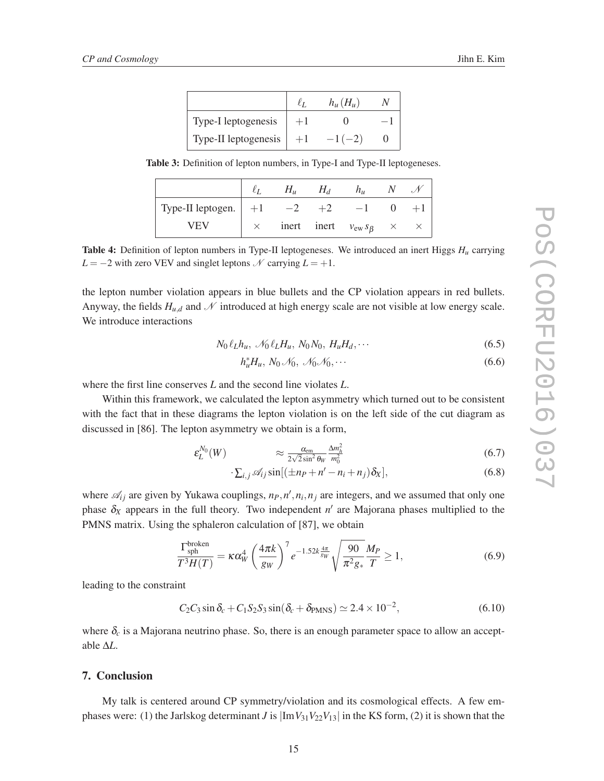|                      | $h_u(H_u)$ |  |
|----------------------|------------|--|
| Type-I leptogenesis  |            |  |
| Type-II leptogenesis | $-1(-2)$   |  |

Table 3: Definition of lepton numbers, in Type-I and Type-II leptogeneses.

|                          | Н., | Ħл | $h_{\mu}$                             |  |
|--------------------------|-----|----|---------------------------------------|--|
| Type-II leptogen. $ $ +1 |     |    | — L                                   |  |
| <b>VFV</b>               |     |    | inert inert $v_{ew} s_{\beta} \times$ |  |

Table 4: Definition of lepton numbers in Type-II leptogeneses. We introduced an inert Higgs *H<sup>u</sup>* carrying *L* = −2 with zero VEV and singlet leptons  $N$  carrying  $L = +1$ .

the lepton number violation appears in blue bullets and the CP violation appears in red bullets. Anyway, the fields  $H_{u,d}$  and  $\mathcal N$  introduced at high energy scale are not visible at low energy scale. We introduce interactions

$$
N_0 \ell_L h_u, \ \mathcal{N}_0 \ell_L H_u, \ N_0 N_0, \ H_u H_d, \cdots \tag{6.5}
$$

$$
h_u^* H_u, N_0 \mathcal{N}_0, \mathcal{N}_0 \mathcal{N}_0, \cdots \tag{6.6}
$$

where the first line conserves *L* and the second line violates *L*.

Within this framework, we calculated the lepton asymmetry which turned out to be consistent with the fact that in these diagrams the lepton violation is on the left side of the cut diagram as discussed in [86]. The lepton asymmetry we obtain is a form,

$$
\varepsilon_L^{N_0}(W) \qquad \qquad \approx \frac{\alpha_{\rm em}}{2\sqrt{2}\sin^2\theta_W} \frac{\Delta m_h^2}{m_0^2} \tag{6.7}
$$

$$
\sum_{i,j} \mathcal{A}_{ij} \sin[(\pm n_P + n' - n_i + n_j)\delta_X], \tag{6.8}
$$

where  $\mathcal{A}_{ij}$  are given by Yukawa couplings,  $n_P$ ,  $n'$ ,  $n_i$ ,  $n_j$  are integers, and we assumed that only one phase  $\delta_X$  appears in the full theory. Two independent  $n'$  are Majorana phases multiplied to the PMNS matrix. Using the sphaleron calculation of [87], we obtain

$$
\frac{\Gamma_{\rm sph}^{\rm broken}}{T^3 H(T)} = \kappa \alpha_W^4 \left(\frac{4\pi k}{g_W}\right)^7 e^{-1.52k \frac{4\pi}{g_W}} \sqrt{\frac{90}{\pi^2 g_*}} \frac{M_P}{T} \ge 1, \tag{6.9}
$$

leading to the constraint

$$
C_2 C_3 \sin \delta_c + C_1 S_2 S_3 \sin(\delta_c + \delta_{PMNS}) \simeq 2.4 \times 10^{-2},
$$
\n(6.10)

where  $\delta_c$  is a Majorana neutrino phase. So, there is an enough parameter space to allow an acceptable ∆*L*.

#### 7. Conclusion

My talk is centered around CP symmetry/violation and its cosmological effects. A few emphases were: (1) the Jarlskog determinant *J* is  $\left|\text{Im }V_{31}V_{22}V_{13}\right|$  in the KS form, (2) it is shown that the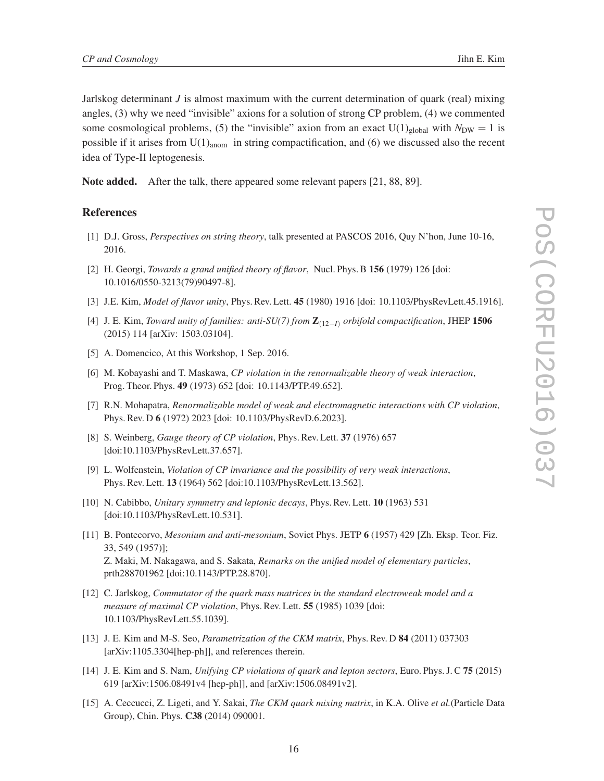Jarlskog determinant *J* is almost maximum with the current determination of quark (real) mixing angles, (3) why we need "invisible" axions for a solution of strong CP problem, (4) we commented some cosmological problems, (5) the "invisible" axion from an exact  $U(1)_{global}$  with  $N_{DW} = 1$  is possible if it arises from  $U(1)_{\text{anom}}$  in string compactification, and (6) we discussed also the recent idea of Type-II leptogenesis.

Note added. After the talk, there appeared some relevant papers [21, 88, 89].

#### References

- [1] D.J. Gross, *Perspectives on string theory*, talk presented at PASCOS 2016, Quy N'hon, June 10-16, 2016.
- [2] H. Georgi, *Towards a grand unified theory of flavor*, Nucl. Phys. B 156 (1979) 126 [doi: 10.1016/0550-3213(79)90497-8].
- [3] J.E. Kim, *Model of flavor unity*, Phys. Rev. Lett. 45 (1980) 1916 [doi: 10.1103/PhysRevLett.45.1916].
- [4] J. E. Kim, *Toward unity of families: anti-SU(7) from* Z(12−*I*) *orbifold compactification*, JHEP 1506 (2015) 114 [arXiv: 1503.03104].
- [5] A. Domencico, At this Workshop, 1 Sep. 2016.
- [6] M. Kobayashi and T. Maskawa, *CP violation in the renormalizable theory of weak interaction*, Prog. Theor. Phys. 49 (1973) 652 [doi: 10.1143/PTP.49.652].
- [7] R.N. Mohapatra, *Renormalizable model of weak and electromagnetic interactions with CP violation*, Phys. Rev. D 6 (1972) 2023 [doi: 10.1103/PhysRevD.6.2023].
- [8] S. Weinberg, *Gauge theory of CP violation*, Phys. Rev. Lett. 37 (1976) 657 [doi:10.1103/PhysRevLett.37.657].
- [9] L. Wolfenstein, *Violation of CP invariance and the possibility of very weak interactions*, Phys. Rev. Lett. 13 (1964) 562 [doi:10.1103/PhysRevLett.13.562].
- [10] N. Cabibbo, *Unitary symmetry and leptonic decays*, Phys. Rev. Lett. 10 (1963) 531 [doi:10.1103/PhysRevLett.10.531].
- [11] B. Pontecorvo, *Mesonium and anti-mesonium*, Soviet Phys. JETP 6 (1957) 429 [Zh. Eksp. Teor. Fiz. 33, 549 (1957)]; Z. Maki, M. Nakagawa, and S. Sakata, *Remarks on the unified model of elementary particles*, prth288701962 [doi:10.1143/PTP.28.870].
- [12] C. Jarlskog, *Commutator of the quark mass matrices in the standard electroweak model and a measure of maximal CP violation*, Phys. Rev. Lett. 55 (1985) 1039 [doi: 10.1103/PhysRevLett.55.1039].
- [13] J. E. Kim and M-S. Seo, *Parametrization of the CKM matrix*, Phys. Rev. D 84 (2011) 037303 [arXiv:1105.3304[hep-ph]], and references therein.
- [14] J. E. Kim and S. Nam, *Unifying CP violations of quark and lepton sectors*, Euro. Phys. J. C 75 (2015) 619 [arXiv:1506.08491v4 [hep-ph]], and [arXiv:1506.08491v2].
- [15] A. Ceccucci, Z. Ligeti, and Y. Sakai, *The CKM quark mixing matrix*, in K.A. Olive *et al.*(Particle Data Group), Chin. Phys. C38 (2014) 090001.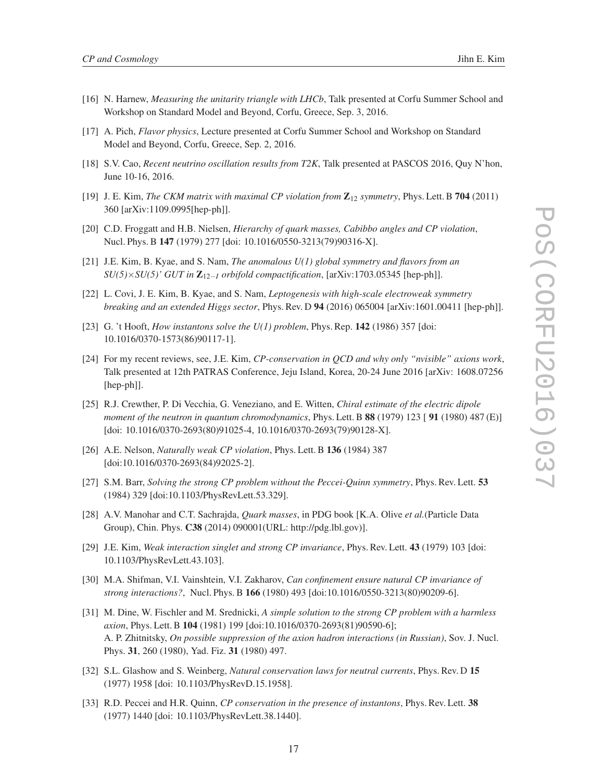- [16] N. Harnew, *Measuring the unitarity triangle with LHCb*, Talk presented at Corfu Summer School and Workshop on Standard Model and Beyond, Corfu, Greece, Sep. 3, 2016.
- [17] A. Pich, *Flavor physics*, Lecture presented at Corfu Summer School and Workshop on Standard Model and Beyond, Corfu, Greece, Sep. 2, 2016.
- [18] S.V. Cao, *Recent neutrino oscillation results from T2K*, Talk presented at PASCOS 2016, Quy N'hon, June 10-16, 2016.
- [19] J. E. Kim, *The CKM matrix with maximal CP violation from*  $\mathbb{Z}_{12}$  *symmetry*, Phys. Lett. B 704 (2011) 360 [arXiv:1109.0995[hep-ph]].
- [20] C.D. Froggatt and H.B. Nielsen, *Hierarchy of quark masses, Cabibbo angles and CP violation*, Nucl. Phys. B 147 (1979) 277 [doi: 10.1016/0550-3213(79)90316-X].
- [21] J.E. Kim, B. Kyae, and S. Nam, *The anomalous U(1) global symmetry and flavors from an*  $SU(5)\times SU(5)'$  *GUT in*  $\mathbb{Z}_{12-1}$  *orbifold compactification*, [arXiv:1703.05345 [hep-ph]].
- [22] L. Covi, J. E. Kim, B. Kyae, and S. Nam, *Leptogenesis with high-scale electroweak symmetry breaking and an extended Higgs sector*, Phys. Rev. D 94 (2016) 065004 [arXiv:1601.00411 [hep-ph]].
- [23] G. 't Hooft, *How instantons solve the U(1) problem*, Phys. Rep. 142 (1986) 357 [doi: 10.1016/0370-1573(86)90117-1].
- [24] For my recent reviews, see, J.E. Kim, *CP-conservation in QCD and why only "nvisible" axions work*, Talk presented at 12th PATRAS Conference, Jeju Island, Korea, 20-24 June 2016 [arXiv: 1608.07256 [hep-ph]].
- [25] R.J. Crewther, P. Di Vecchia, G. Veneziano, and E. Witten, *Chiral estimate of the electric dipole moment of the neutron in quantum chromodynamics*, Phys. Lett. B 88 (1979) 123 [ 91 (1980) 487 (E)] [doi: 10.1016/0370-2693(80)91025-4, 10.1016/0370-2693(79)90128-X].
- [26] A.E. Nelson, *Naturally weak CP violation*, Phys. Lett. B 136 (1984) 387 [doi:10.1016/0370-2693(84)92025-2].
- [27] S.M. Barr, *Solving the strong CP problem without the Peccei-Quinn symmetry*, Phys. Rev. Lett. 53 (1984) 329 [doi:10.1103/PhysRevLett.53.329].
- [28] A.V. Manohar and C.T. Sachrajda, *Quark masses*, in PDG book [K.A. Olive *et al.*(Particle Data Group), Chin. Phys. C38 (2014) 090001(URL: http://pdg.lbl.gov)].
- [29] J.E. Kim, *Weak interaction singlet and strong CP invariance*, Phys. Rev. Lett. 43 (1979) 103 [doi: 10.1103/PhysRevLett.43.103].
- [30] M.A. Shifman, V.I. Vainshtein, V.I. Zakharov, *Can confinement ensure natural CP invariance of strong interactions?*, Nucl. Phys. B 166 (1980) 493 [doi:10.1016/0550-3213(80)90209-6].
- [31] M. Dine, W. Fischler and M. Srednicki, *A simple solution to the strong CP problem with a harmless axion*, Phys. Lett. B 104 (1981) 199 [doi:10.1016/0370-2693(81)90590-6]; A. P. Zhitnitsky, *On possible suppression of the axion hadron interactions (in Russian)*, Sov. J. Nucl. Phys. 31, 260 (1980), Yad. Fiz. 31 (1980) 497.
- [32] S.L. Glashow and S. Weinberg, *Natural conservation laws for neutral currents*, Phys. Rev. D 15 (1977) 1958 [doi: 10.1103/PhysRevD.15.1958].
- [33] R.D. Peccei and H.R. Quinn, *CP conservation in the presence of instantons*, Phys. Rev. Lett. 38 (1977) 1440 [doi: 10.1103/PhysRevLett.38.1440].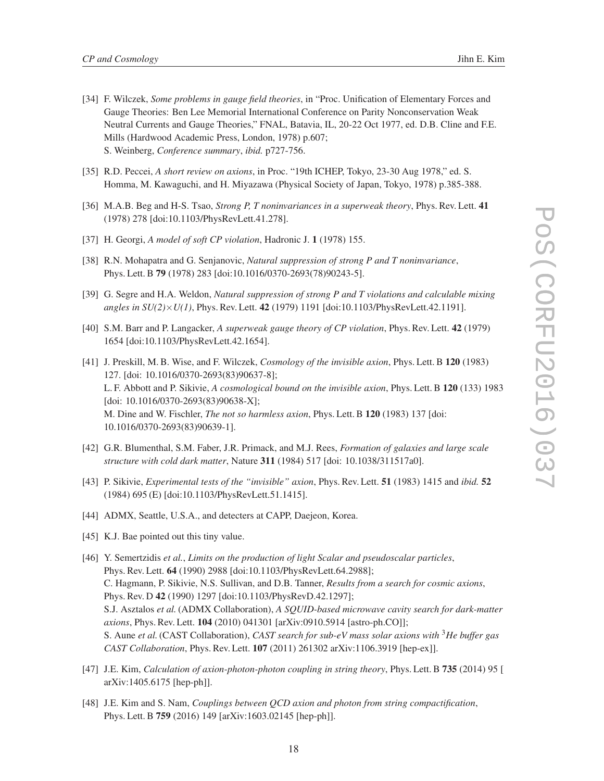- [34] F. Wilczek, *Some problems in gauge field theories*, in "Proc. Unification of Elementary Forces and Gauge Theories: Ben Lee Memorial International Conference on Parity Nonconservation Weak Neutral Currents and Gauge Theories," FNAL, Batavia, IL, 20-22 Oct 1977, ed. D.B. Cline and F.E. Mills (Hardwood Academic Press, London, 1978) p.607; S. Weinberg, *Conference summary*, *ibid.* p727-756.
- [35] R.D. Peccei, *A short review on axions*, in Proc. "19th ICHEP, Tokyo, 23-30 Aug 1978," ed. S. Homma, M. Kawaguchi, and H. Miyazawa (Physical Society of Japan, Tokyo, 1978) p.385-388.
- [36] M.A.B. Beg and H-S. Tsao, *Strong P, T noninvariances in a superweak theory*, Phys. Rev. Lett. 41 (1978) 278 [doi:10.1103/PhysRevLett.41.278].
- [37] H. Georgi, *A model of soft CP violation*, Hadronic J. 1 (1978) 155.
- [38] R.N. Mohapatra and G. Senjanovic, *Natural suppression of strong P and T noninvariance*, Phys. Lett. B 79 (1978) 283 [doi:10.1016/0370-2693(78)90243-5].
- [39] G. Segre and H.A. Weldon, *Natural suppression of strong P and T violations and calculable mixing angles in SU(2)*×*U(1)*, Phys. Rev. Lett. 42 (1979) 1191 [doi:10.1103/PhysRevLett.42.1191].
- [40] S.M. Barr and P. Langacker, *A superweak gauge theory of CP violation*, Phys. Rev. Lett. 42 (1979) 1654 [doi:10.1103/PhysRevLett.42.1654].
- [41] J. Preskill, M. B. Wise, and F. Wilczek, *Cosmology of the invisible axion*, Phys. Lett. B 120 (1983) 127. [doi: 10.1016/0370-2693(83)90637-8]; L. F. Abbott and P. Sikivie, *A cosmological bound on the invisible axion*, Phys. Lett. B 120 (133) 1983 [doi: 10.1016/0370-2693(83)90638-X]; M. Dine and W. Fischler, *The not so harmless axion*, Phys. Lett. B 120 (1983) 137 [doi: 10.1016/0370-2693(83)90639-1].
- [42] G.R. Blumenthal, S.M. Faber, J.R. Primack, and M.J. Rees, *Formation of galaxies and large scale structure with cold dark matter*, Nature 311 (1984) 517 [doi: 10.1038/311517a0].
- [43] P. Sikivie, *Experimental tests of the "invisible" axion*, Phys. Rev. Lett. 51 (1983) 1415 and *ibid.* 52 (1984) 695 (E) [doi:10.1103/PhysRevLett.51.1415].
- [44] ADMX, Seattle, U.S.A., and detecters at CAPP, Daejeon, Korea.
- [45] K.J. Bae pointed out this tiny value.
- [46] Y. Semertzidis *et al.*, *Limits on the production of light Scalar and pseudoscalar particles*, Phys. Rev. Lett. 64 (1990) 2988 [doi:10.1103/PhysRevLett.64.2988]; C. Hagmann, P. Sikivie, N.S. Sullivan, and D.B. Tanner, *Results from a search for cosmic axions*, Phys. Rev. D 42 (1990) 1297 [doi:10.1103/PhysRevD.42.1297]; S.J. Asztalos *et al.*(ADMX Collaboration), *A SQUID-based microwave cavity search for dark-matter axions*, Phys. Rev. Lett. 104 (2010) 041301 [arXiv:0910.5914 [astro-ph.CO]]; S. Aune *et al.*(CAST Collaboration), *CAST search for sub-eV mass solar axions with* <sup>3</sup>*He buffer gas CAST Collaboration*, Phys. Rev. Lett. 107 (2011) 261302 arXiv:1106.3919 [hep-ex]].
- [47] J.E. Kim, *Calculation of axion-photon-photon coupling in string theory*, Phys. Lett. B 735 (2014) 95 [ arXiv:1405.6175 [hep-ph]].
- [48] J.E. Kim and S. Nam, *Couplings between QCD axion and photon from string compactification*, Phys. Lett. B 759 (2016) 149 [arXiv:1603.02145 [hep-ph]].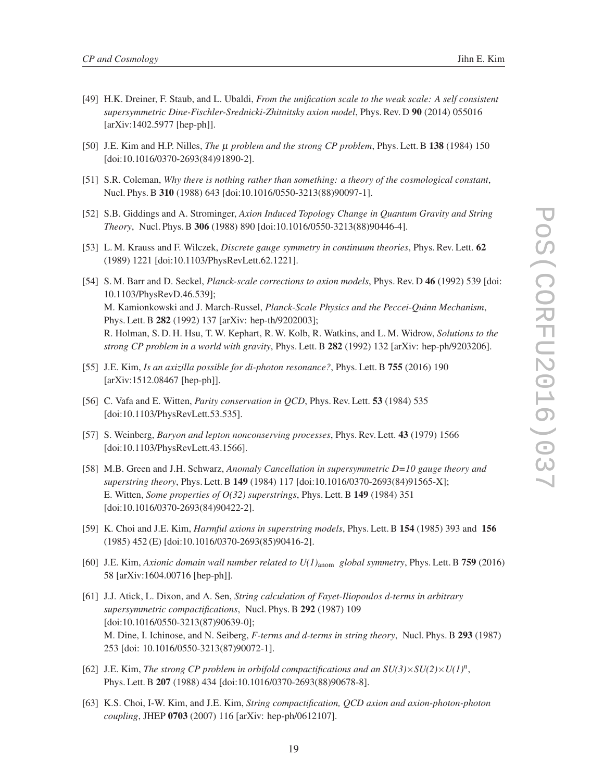- 
- [49] H.K. Dreiner, F. Staub, and L. Ubaldi, *From the unification scale to the weak scale: A self consistent supersymmetric Dine-Fischler-Srednicki-Zhitnitsky axion model*, Phys. Rev. D 90 (2014) 055016 [arXiv:1402.5977 [hep-ph]].
- [50] J.E. Kim and H.P. Nilles, *The* µ *problem and the strong CP problem*, Phys. Lett. B 138 (1984) 150 [doi:10.1016/0370-2693(84)91890-2].
- [51] S.R. Coleman, *Why there is nothing rather than something: a theory of the cosmological constant*, Nucl. Phys. B 310 (1988) 643 [doi:10.1016/0550-3213(88)90097-1].
- [52] S.B. Giddings and A. Strominger, *Axion Induced Topology Change in Quantum Gravity and String Theory*, Nucl. Phys. B 306 (1988) 890 [doi:10.1016/0550-3213(88)90446-4].
- [53] L. M. Krauss and F. Wilczek, *Discrete gauge symmetry in continuum theories*, Phys. Rev. Lett. 62 (1989) 1221 [doi:10.1103/PhysRevLett.62.1221].
- [54] S. M. Barr and D. Seckel, *Planck-scale corrections to axion models*, Phys. Rev. D 46 (1992) 539 [doi: 10.1103/PhysRevD.46.539]; M. Kamionkowski and J. March-Russel, *Planck-Scale Physics and the Peccei-Quinn Mechanism*, Phys. Lett. B 282 (1992) 137 [arXiv: hep-th/9202003]; R. Holman, S. D. H. Hsu, T. W. Kephart, R. W. Kolb, R. Watkins, and L. M. Widrow, *Solutions to the strong CP problem in a world with gravity*, Phys. Lett. B 282 (1992) 132 [arXiv: hep-ph/9203206].
- [55] J.E. Kim, *Is an axizilla possible for di-photon resonance?*, Phys. Lett. B 755 (2016) 190 [arXiv:1512.08467 [hep-ph]].
- [56] C. Vafa and E. Witten, *Parity conservation in QCD*, Phys. Rev. Lett. 53 (1984) 535 [doi:10.1103/PhysRevLett.53.535].
- [57] S. Weinberg, *Baryon and lepton nonconserving processes*, Phys. Rev. Lett. 43 (1979) 1566 [doi:10.1103/PhysRevLett.43.1566].
- [58] M.B. Green and J.H. Schwarz, *Anomaly Cancellation in supersymmetric D=10 gauge theory and superstring theory*, Phys. Lett. B 149 (1984) 117 [doi:10.1016/0370-2693(84)91565-X]; E. Witten, *Some properties of O(32) superstrings*, Phys. Lett. B 149 (1984) 351 [doi:10.1016/0370-2693(84)90422-2].
- [59] K. Choi and J.E. Kim, *Harmful axions in superstring models*, Phys. Lett. B 154 (1985) 393 and 156 (1985) 452 (E) [doi:10.1016/0370-2693(85)90416-2].
- [60] J.E. Kim, *Axionic domain wall number related to U(1)*anom *global symmetry*, Phys. Lett. B 759 (2016) 58 [arXiv:1604.00716 [hep-ph]].
- [61] J.J. Atick, L. Dixon, and A. Sen, *String calculation of Fayet-Iliopoulos d-terms in arbitrary supersymmetric compactifications*, Nucl. Phys. B 292 (1987) 109 [doi:10.1016/0550-3213(87)90639-0]; M. Dine, I. Ichinose, and N. Seiberg, *F-terms and d-terms in string theory*, Nucl. Phys. B 293 (1987) 253 [doi: 10.1016/0550-3213(87)90072-1].
- [62] J.E. Kim, *The strong CP problem in orbifold compactifications and an*  $SU(3)\times SU(2)\times U(1)^n$ *,* Phys. Lett. B 207 (1988) 434 [doi:10.1016/0370-2693(88)90678-8].
- [63] K.S. Choi, I-W. Kim, and J.E. Kim, *String compactification, QCD axion and axion-photon-photon coupling*, JHEP 0703 (2007) 116 [arXiv: hep-ph/0612107].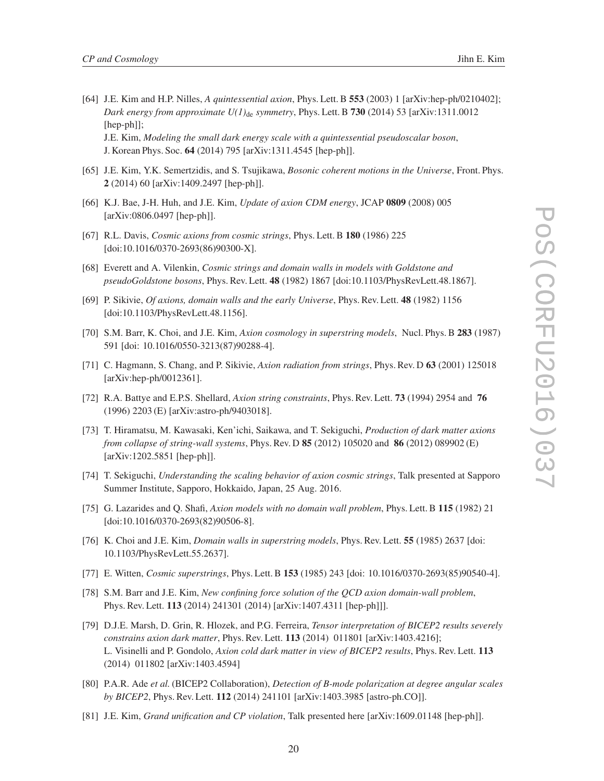- 
- [64] J.E. Kim and H.P. Nilles, *A quintessential axion*, Phys. Lett. B 553 (2003) 1 [arXiv:hep-ph/0210402]; *Dark energy from approximate*  $U(1)_{\text{de}}$  *symmetry*, Phys. Lett. B 730 (2014) 53 [arXiv:1311.0012 [hep-ph]]; J.E. Kim, *Modeling the small dark energy scale with a quintessential pseudoscalar boson*, J. Korean Phys. Soc. 64 (2014) 795 [arXiv:1311.4545 [hep-ph]].
- [65] J.E. Kim, Y.K. Semertzidis, and S. Tsujikawa, *Bosonic coherent motions in the Universe*, Front. Phys. 2 (2014) 60 [arXiv:1409.2497 [hep-ph]].
- [66] K.J. Bae, J-H. Huh, and J.E. Kim, *Update of axion CDM energy*, JCAP 0809 (2008) 005 [arXiv:0806.0497 [hep-ph]].
- [67] R.L. Davis, *Cosmic axions from cosmic strings*, Phys. Lett. B 180 (1986) 225 [doi:10.1016/0370-2693(86)90300-X].
- [68] Everett and A. Vilenkin, *Cosmic strings and domain walls in models with Goldstone and pseudoGoldstone bosons*, Phys. Rev. Lett. 48 (1982) 1867 [doi:10.1103/PhysRevLett.48.1867].
- [69] P. Sikivie, *Of axions, domain walls and the early Universe*, Phys. Rev. Lett. 48 (1982) 1156 [doi:10.1103/PhysRevLett.48.1156].
- [70] S.M. Barr, K. Choi, and J.E. Kim, *Axion cosmology in superstring models*, Nucl. Phys. B 283 (1987) 591 [doi: 10.1016/0550-3213(87)90288-4].
- [71] C. Hagmann, S. Chang, and P. Sikivie, *Axion radiation from strings*, Phys. Rev. D 63 (2001) 125018 [arXiv:hep-ph/0012361].
- [72] R.A. Battye and E.P.S. Shellard, *Axion string constraints*, Phys. Rev. Lett. 73 (1994) 2954 and 76 (1996) 2203 (E) [arXiv:astro-ph/9403018].
- [73] T. Hiramatsu, M. Kawasaki, Ken'ichi, Saikawa, and T. Sekiguchi, *Production of dark matter axions from collapse of string-wall systems*, Phys. Rev. D 85 (2012) 105020 and 86 (2012) 089902 (E) [arXiv:1202.5851 [hep-ph]].
- [74] T. Sekiguchi, *Understanding the scaling behavior of axion cosmic strings*, Talk presented at Sapporo Summer Institute, Sapporo, Hokkaido, Japan, 25 Aug. 2016.
- [75] G. Lazarides and Q. Shafi, *Axion models with no domain wall problem*, Phys. Lett. B 115 (1982) 21 [doi:10.1016/0370-2693(82)90506-8].
- [76] K. Choi and J.E. Kim, *Domain walls in superstring models*, Phys. Rev. Lett. 55 (1985) 2637 [doi: 10.1103/PhysRevLett.55.2637].
- [77] E. Witten, *Cosmic superstrings*, Phys. Lett. B 153 (1985) 243 [doi: 10.1016/0370-2693(85)90540-4].
- [78] S.M. Barr and J.E. Kim, *New confining force solution of the QCD axion domain-wall problem*, Phys. Rev. Lett. 113 (2014) 241301 (2014) [arXiv:1407.4311 [hep-ph]]].
- [79] D.J.E. Marsh, D. Grin, R. Hlozek, and P.G. Ferreira, *Tensor interpretation of BICEP2 results severely constrains axion dark matter*, Phys. Rev. Lett. 113 (2014) 011801 [arXiv:1403.4216]; L. Visinelli and P. Gondolo, *Axion cold dark matter in view of BICEP2 results*, Phys. Rev. Lett. 113 (2014) 011802 [arXiv:1403.4594]
- [80] P.A.R. Ade *et al.*(BICEP2 Collaboration), *Detection of B-mode polarization at degree angular scales by BICEP2*, Phys. Rev. Lett. 112 (2014) 241101 [arXiv:1403.3985 [astro-ph.CO]].
- [81] J.E. Kim, *Grand unification and CP violation*, Talk presented here [arXiv:1609.01148 [hep-ph]].